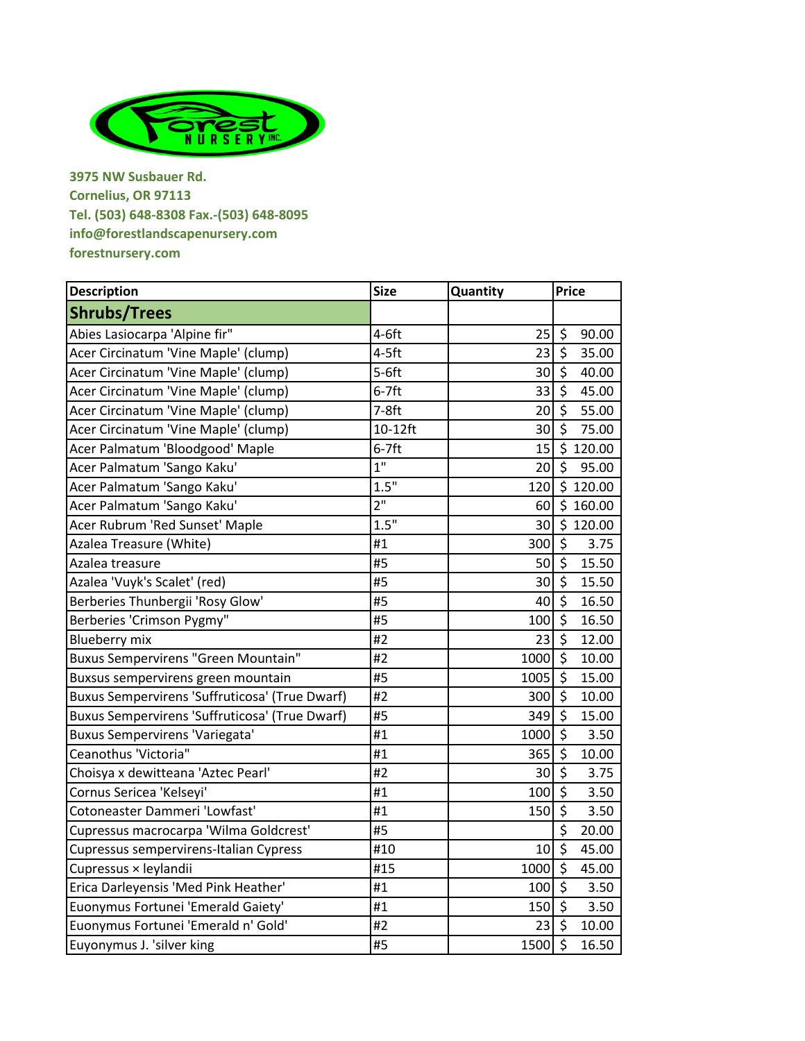

**3975 NW Susbauer Rd. Cornelius, OR 97113 Tel. (503) 648-8308 Fax.-(503) 648-8095 info@forestlandscapenursery.com forestnursery.com**

| <b>Description</b>                             | <b>Size</b>     | Quantity | <b>Price</b>                     |  |
|------------------------------------------------|-----------------|----------|----------------------------------|--|
| <b>Shrubs/Trees</b>                            |                 |          |                                  |  |
| Abies Lasiocarpa 'Alpine fir"                  | $4-6ft$         | 25       | $\zeta$<br>90.00                 |  |
| Acer Circinatum 'Vine Maple' (clump)           | $4-5$ ft        | 23       | $\zeta$<br>35.00                 |  |
| Acer Circinatum 'Vine Maple' (clump)           | $5-6ft$         | 30       | $\zeta$<br>40.00                 |  |
| Acer Circinatum 'Vine Maple' (clump)           | $6-7$ ft        | 33       | $\zeta$<br>45.00                 |  |
| Acer Circinatum 'Vine Maple' (clump)           | $7-8ft$         | 20       | $\zeta$<br>55.00                 |  |
| Acer Circinatum 'Vine Maple' (clump)           | 10-12ft         | 30       | $\zeta$<br>75.00                 |  |
| Acer Palmatum 'Bloodgood' Maple                | $6-7$ ft        | 15       | \$120.00                         |  |
| Acer Palmatum 'Sango Kaku'                     | 1 <sup>11</sup> | 20       | $\overline{\xi}$<br>95.00        |  |
| Acer Palmatum 'Sango Kaku'                     | 1.5"            | 120      | $\overline{\$}$ 120.00           |  |
| Acer Palmatum 'Sango Kaku'                     | 2 <sup>11</sup> | 60       | \$160.00                         |  |
| Acer Rubrum 'Red Sunset' Maple                 | 1.5"            | 30       | \$120.00                         |  |
| Azalea Treasure (White)                        | #1              | 300      | $\zeta$<br>3.75                  |  |
| Azalea treasure                                | #5              | 50       | $\zeta$<br>15.50                 |  |
| Azalea 'Vuyk's Scalet' (red)                   | #5              | 30       | $\zeta$<br>15.50                 |  |
| Berberies Thunbergii 'Rosy Glow'               | #5              | 40       | $\zeta$<br>16.50                 |  |
| Berberies 'Crimson Pygmy"                      | #5              | 100      | $\zeta$<br>16.50                 |  |
| <b>Blueberry mix</b>                           | #2              | 23       | $\zeta$<br>12.00                 |  |
| <b>Buxus Sempervirens "Green Mountain"</b>     | #2              | 1000     | $\ddot{\mathsf{s}}$<br>10.00     |  |
| Buxsus sempervirens green mountain             | #5              | 1005     | $\zeta$<br>15.00                 |  |
| Buxus Sempervirens 'Suffruticosa' (True Dwarf) | #2              | 300      | $\zeta$<br>10.00                 |  |
| Buxus Sempervirens 'Suffruticosa' (True Dwarf) | #5              | 349      | $\zeta$<br>15.00                 |  |
| <b>Buxus Sempervirens 'Variegata'</b>          | #1              | 1000     | $\zeta$<br>3.50                  |  |
| Ceanothus 'Victoria"                           | #1              | 365      | $\zeta$<br>10.00                 |  |
| Choisya x dewitteana 'Aztec Pearl'             | #2              | 30       | $\overline{\mathcal{S}}$<br>3.75 |  |
| Cornus Sericea 'Kelseyi'                       | #1              | 100      | $\zeta$<br>3.50                  |  |
| Cotoneaster Dammeri 'Lowfast'                  | #1              | 150      | $\overline{\xi}$<br>3.50         |  |
| Cupressus macrocarpa 'Wilma Goldcrest'         | #5              |          | \$<br>20.00                      |  |
| Cupressus sempervirens-Italian Cypress         | #10             | 10       | $\zeta$<br>45.00                 |  |
| Cupressus × leylandii                          | #15             | 1000     | $\zeta$<br>45.00                 |  |
| Erica Darleyensis 'Med Pink Heather'           | #1              | 100      | $\zeta$<br>3.50                  |  |
| Euonymus Fortunei 'Emerald Gaiety'             | #1              | 150      | $\zeta$<br>3.50                  |  |
| Euonymus Fortunei 'Emerald n' Gold'            | #2              | 23       | $\zeta$<br>10.00                 |  |
| Euyonymus J. 'silver king                      | #5              | 1500     | $\overline{\xi}$<br>16.50        |  |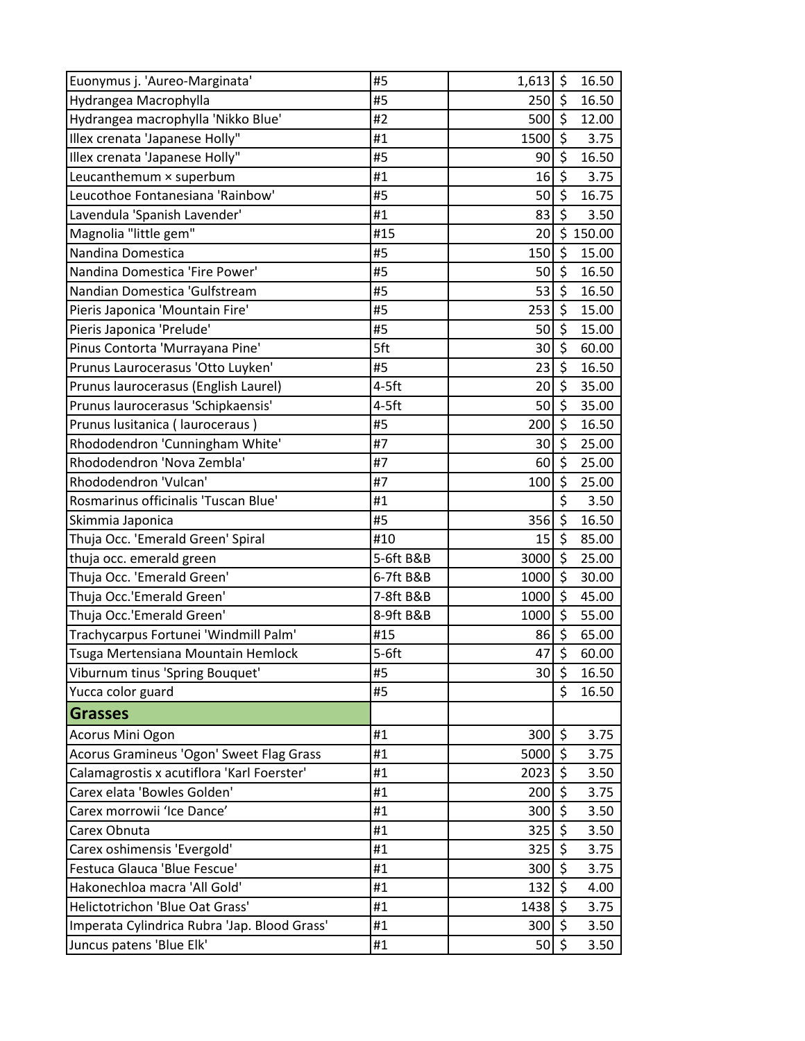| Euonymus j. 'Aureo-Marginata'                | #5        | $1,613$ \$      |                         | 16.50    |
|----------------------------------------------|-----------|-----------------|-------------------------|----------|
| Hydrangea Macrophylla                        | #5        | $250$ \$        |                         | 16.50    |
| Hydrangea macrophylla 'Nikko Blue'           | #2        | 500             | $\zeta$                 | 12.00    |
| Illex crenata 'Japanese Holly"               | #1        | 1500            | $\zeta$                 | 3.75     |
| Illex crenata 'Japanese Holly"               | #5        | 90              | $\zeta$                 | 16.50    |
| Leucanthemum × superbum                      | #1        | 16              | \$                      | 3.75     |
| Leucothoe Fontanesiana 'Rainbow'             | #5        | 50              | $\zeta$                 | 16.75    |
| Lavendula 'Spanish Lavender'                 | #1        | 83              | $\zeta$                 | 3.50     |
| Magnolia "little gem"                        | #15       | 20              |                         | \$150.00 |
| Nandina Domestica                            | #5        | 150             | $\zeta$                 | 15.00    |
| Nandina Domestica 'Fire Power'               | #5        | 50              | $\zeta$                 | 16.50    |
| Nandian Domestica 'Gulfstream                | #5        | 53              | $\overline{\mathbf{r}}$ | 16.50    |
| Pieris Japonica 'Mountain Fire'              | #5        | 253             | \$                      | 15.00    |
| Pieris Japonica 'Prelude'                    | #5        | 50              | $\zeta$                 | 15.00    |
| Pinus Contorta 'Murrayana Pine'              | 5ft       | 30              | \$                      | 60.00    |
| Prunus Laurocerasus 'Otto Luyken'            | #5        | 23              | $\zeta$                 | 16.50    |
| Prunus laurocerasus (English Laurel)         | $4-5$ ft  | 20 <sup>°</sup> | $\zeta$                 | 35.00    |
| Prunus laurocerasus 'Schipkaensis'           | $4-5$ ft  | 50              | $\zeta$                 | 35.00    |
| Prunus lusitanica (lauroceraus)              | #5        | 200             | $\overline{\varsigma}$  | 16.50    |
| Rhododendron 'Cunningham White'              | #7        | 30              | \$                      | 25.00    |
| Rhododendron 'Nova Zembla'                   | #7        | 60              | $\zeta$                 | 25.00    |
| Rhododendron 'Vulcan'                        | #7        | 100             | \$                      | 25.00    |
| Rosmarinus officinalis 'Tuscan Blue'         | #1        |                 | \$                      | 3.50     |
| Skimmia Japonica                             | #5        | 356             | $\zeta$                 | 16.50    |
| Thuja Occ. 'Emerald Green' Spiral            | #10       | 15              | \$                      | 85.00    |
| thuja occ. emerald green                     | 5-6ft B&B | 3000            | $\zeta$                 | 25.00    |
| Thuja Occ. 'Emerald Green'                   | 6-7ft B&B | 1000            | $\zeta$                 | 30.00    |
| Thuja Occ.'Emerald Green'                    | 7-8ft B&B | 1000            | $\zeta$                 | 45.00    |
| Thuja Occ.'Emerald Green'                    | 8-9ft B&B | 1000            | $\zeta$                 | 55.00    |
| Trachycarpus Fortunei 'Windmill Palm'        | #15       | 86              | \$                      | 65.00    |
| Tsuga Mertensiana Mountain Hemlock           | $5-6ft$   | 47              | $\overline{\xi}$        | 60.00    |
| Viburnum tinus 'Spring Bouquet'              | #5        | 30              | \$                      | 16.50    |
| Yucca color guard                            | #5        |                 | $\zeta$                 | 16.50    |
| <b>Grasses</b>                               |           |                 |                         |          |
| Acorus Mini Ogon                             | #1        | 300             | $\ddot{\varsigma}$      | 3.75     |
| Acorus Gramineus 'Ogon' Sweet Flag Grass     | #1        | 5000 \$         |                         | 3.75     |
| Calamagrostis x acutiflora 'Karl Foerster'   | #1        | 2023            | $\ddot{\mathsf{S}}$     | 3.50     |
| Carex elata 'Bowles Golden'                  | #1        | 200             | $\zeta$                 | 3.75     |
| Carex morrowii 'Ice Dance'                   | #1        | 300             | \$                      | 3.50     |
| Carex Obnuta                                 | #1        | 325             | \$                      | 3.50     |
| Carex oshimensis 'Evergold'                  | #1        | 325             | $\zeta$                 | 3.75     |
| Festuca Glauca 'Blue Fescue'                 | #1        | 300             | $\boldsymbol{\zeta}$    | 3.75     |
| Hakonechloa macra 'All Gold'                 | #1        | 132             | $\zeta$                 | 4.00     |
| Helictotrichon 'Blue Oat Grass'              | #1        | 1438 \$         |                         | 3.75     |
| Imperata Cylindrica Rubra 'Jap. Blood Grass' | #1        | 300             | \$                      | 3.50     |
| Juncus patens 'Blue Elk'                     | #1        | 50              | $\boldsymbol{\zeta}$    | 3.50     |